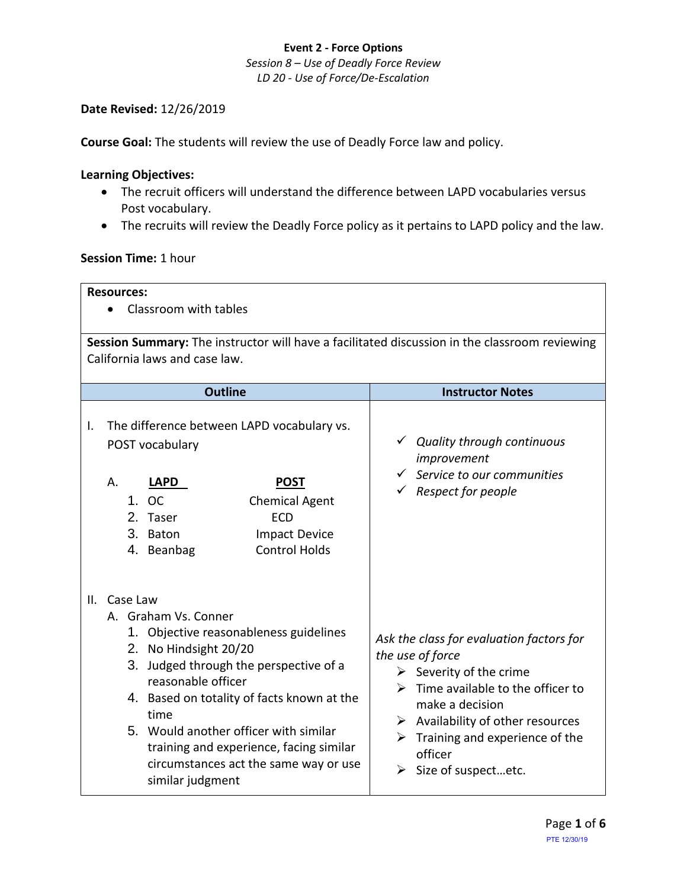*Session 8 – Use of Deadly Force Review LD 20 - Use of Force/De-Escalation*

#### **Date Revised:** 12/26/2019

**Course Goal:** The students will review the use of Deadly Force law and policy.

### **Learning Objectives:**

- The recruit officers will understand the difference between LAPD vocabularies versus Post vocabulary.
- The recruits will review the Deadly Force policy as it pertains to LAPD policy and the law.

#### **Session Time:** 1 hour

| <b>Resources:</b><br>Classroom with tables                                                                                     |                                                                                                                                                                                                                                                                                                                                                                            |                                                                                                                                                                                                                                                                                       |  |  |  |
|--------------------------------------------------------------------------------------------------------------------------------|----------------------------------------------------------------------------------------------------------------------------------------------------------------------------------------------------------------------------------------------------------------------------------------------------------------------------------------------------------------------------|---------------------------------------------------------------------------------------------------------------------------------------------------------------------------------------------------------------------------------------------------------------------------------------|--|--|--|
| Session Summary: The instructor will have a facilitated discussion in the classroom reviewing<br>California laws and case law. |                                                                                                                                                                                                                                                                                                                                                                            |                                                                                                                                                                                                                                                                                       |  |  |  |
|                                                                                                                                | <b>Outline</b>                                                                                                                                                                                                                                                                                                                                                             | <b>Instructor Notes</b>                                                                                                                                                                                                                                                               |  |  |  |
| Ι.                                                                                                                             | The difference between LAPD vocabulary vs.<br>POST vocabulary<br><b>POST</b><br>Α.<br>LAPD<br>1. OC<br><b>Chemical Agent</b><br><b>ECD</b><br>2. Taser<br>3. Baton<br><b>Impact Device</b><br><b>Control Holds</b><br>4. Beanbag                                                                                                                                           | $\checkmark$ Quality through continuous<br>improvement<br>$\checkmark$ Service to our communities<br>$\checkmark$ Respect for people                                                                                                                                                  |  |  |  |
| Ш.                                                                                                                             | Case Law<br>A. Graham Vs. Conner<br>1. Objective reasonableness guidelines<br>2. No Hindsight 20/20<br>3. Judged through the perspective of a<br>reasonable officer<br>4. Based on totality of facts known at the<br>time<br>5. Would another officer with similar<br>training and experience, facing similar<br>circumstances act the same way or use<br>similar judgment | Ask the class for evaluation factors for<br>the use of force<br>$\triangleright$ Severity of the crime<br>Time available to the officer to<br>make a decision<br>$\triangleright$ Availability of other resources<br>Training and experience of the<br>officer<br>Size of suspectetc. |  |  |  |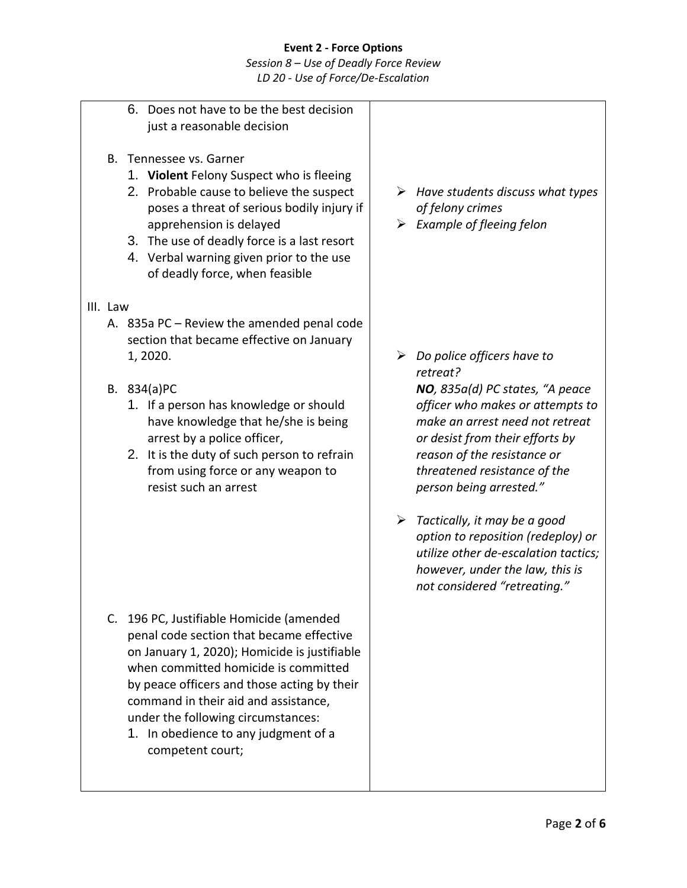*Session 8 – Use of Deadly Force Review LD 20 - Use of Force/De-Escalation*

- 6. Does not have to be the best decision just a reasonable decision
- B. Tennessee vs. Garner
	- 1. **Violent** Felony Suspect who is fleeing
	- 2. Probable cause to believe the suspect poses a threat of serious bodily injury if apprehension is delayed
	- 3. The use of deadly force is a last resort
	- 4. Verbal warning given prior to the use of deadly force, when feasible
- III. Law
	- A. 835a PC Review the amended penal code section that became effective on January 1, 2020.
	- B. 834(a)PC
		- 1. If a person has knowledge or should have knowledge that he/she is being arrest by a police officer,
		- 2. It is the duty of such person to refrain from using force or any weapon to resist such an arrest

- C. 196 PC, Justifiable Homicide (amended penal code section that became effective on January 1, 2020); Homicide is justifiable when committed homicide is committed by peace officers and those acting by their command in their aid and assistance, under the following circumstances:
	- 1. In obedience to any judgment of a competent court;
- ➢ *Have students discuss what types of felony crimes*
- ➢ *Example of fleeing felon*

- ➢ *Do police officers have to retreat? NO, 835a(d) PC states, "A peace officer who makes or attempts to make an arrest need not retreat or desist from their efforts by reason of the resistance or threatened resistance of the person being arrested."*
- ➢ *Tactically, it may be a good option to reposition (redeploy) or utilize other de-escalation tactics; however, under the law, this is not considered "retreating."*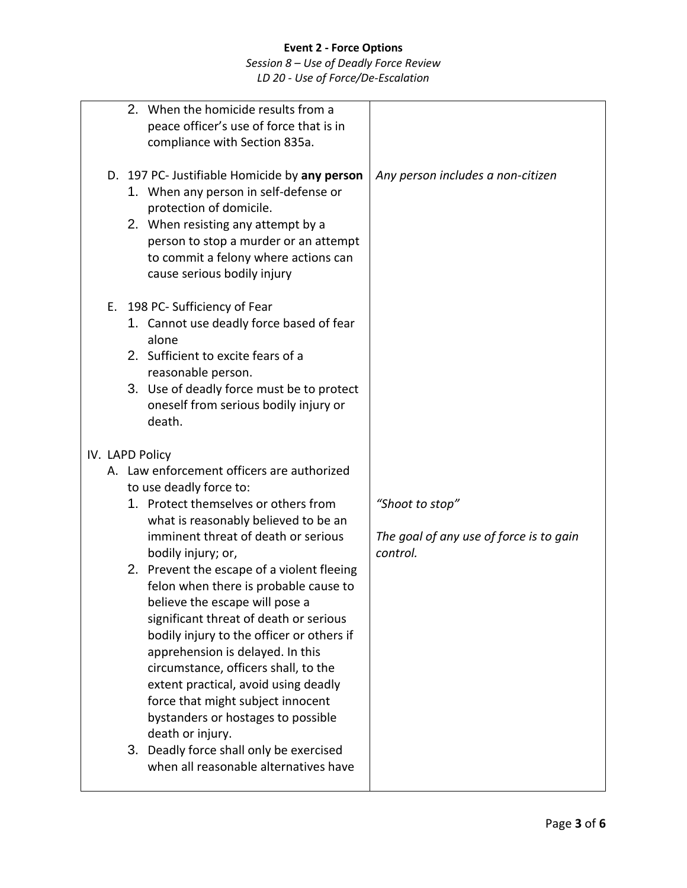# *Session 8 – Use of Deadly Force Review LD 20 - Use of Force/De-Escalation*

|  | 2. When the homicide results from a<br>peace officer's use of force that is in<br>compliance with Section 835a.                                                                                                                                                                                                                                                                                                                                                            |                                                     |
|--|----------------------------------------------------------------------------------------------------------------------------------------------------------------------------------------------------------------------------------------------------------------------------------------------------------------------------------------------------------------------------------------------------------------------------------------------------------------------------|-----------------------------------------------------|
|  | D. 197 PC- Justifiable Homicide by any person<br>1. When any person in self-defense or<br>protection of domicile.<br>2. When resisting any attempt by a<br>person to stop a murder or an attempt<br>to commit a felony where actions can<br>cause serious bodily injury                                                                                                                                                                                                    | Any person includes a non-citizen                   |
|  | E. 198 PC- Sufficiency of Fear<br>1. Cannot use deadly force based of fear<br>alone<br>2. Sufficient to excite fears of a<br>reasonable person.<br>3. Use of deadly force must be to protect<br>oneself from serious bodily injury or<br>death.                                                                                                                                                                                                                            |                                                     |
|  | IV. LAPD Policy                                                                                                                                                                                                                                                                                                                                                                                                                                                            |                                                     |
|  | A. Law enforcement officers are authorized                                                                                                                                                                                                                                                                                                                                                                                                                                 |                                                     |
|  | to use deadly force to:<br>1. Protect themselves or others from                                                                                                                                                                                                                                                                                                                                                                                                            |                                                     |
|  | what is reasonably believed to be an                                                                                                                                                                                                                                                                                                                                                                                                                                       | "Shoot to stop"                                     |
|  | imminent threat of death or serious<br>bodily injury; or,                                                                                                                                                                                                                                                                                                                                                                                                                  | The goal of any use of force is to gain<br>control. |
|  | 2. Prevent the escape of a violent fleeing<br>felon when there is probable cause to<br>believe the escape will pose a<br>significant threat of death or serious<br>bodily injury to the officer or others if<br>apprehension is delayed. In this<br>circumstance, officers shall, to the<br>extent practical, avoid using deadly<br>force that might subject innocent<br>bystanders or hostages to possible<br>death or injury.<br>3. Deadly force shall only be exercised |                                                     |
|  | when all reasonable alternatives have                                                                                                                                                                                                                                                                                                                                                                                                                                      |                                                     |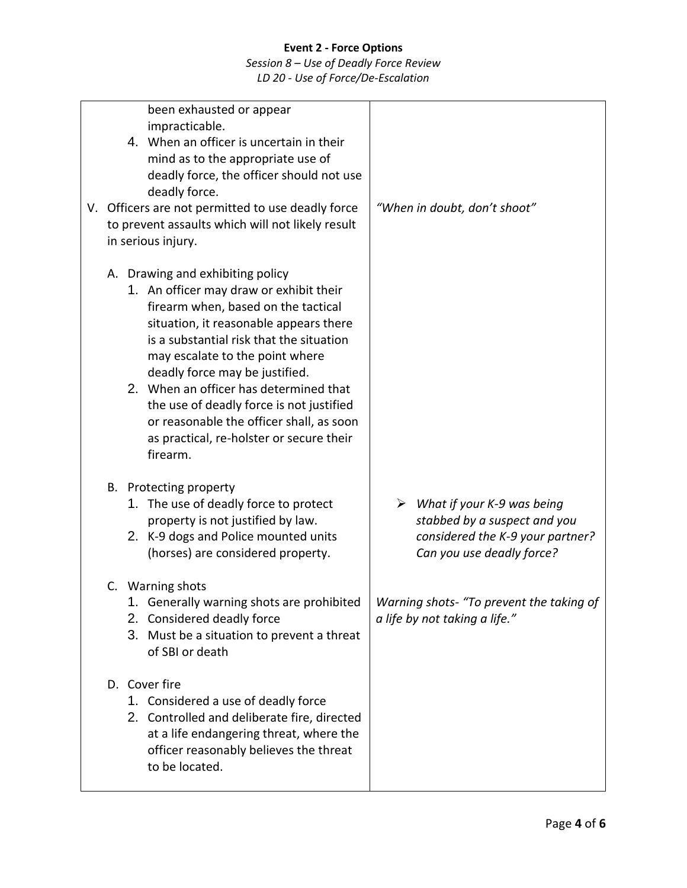# *Session 8 – Use of Deadly Force Review*

*LD 20 - Use of Force/De-Escalation*

| been exhausted or appear<br>impracticable.<br>4. When an officer is uncertain in their<br>mind as to the appropriate use of<br>deadly force, the officer should not use<br>deadly force.<br>V. Officers are not permitted to use deadly force<br>to prevent assaults which will not likely result<br>in serious injury.                                                                                                                                                 | "When in doubt, don't shoot"                                                                                                                 |
|-------------------------------------------------------------------------------------------------------------------------------------------------------------------------------------------------------------------------------------------------------------------------------------------------------------------------------------------------------------------------------------------------------------------------------------------------------------------------|----------------------------------------------------------------------------------------------------------------------------------------------|
| A. Drawing and exhibiting policy<br>1. An officer may draw or exhibit their<br>firearm when, based on the tactical<br>situation, it reasonable appears there<br>is a substantial risk that the situation<br>may escalate to the point where<br>deadly force may be justified.<br>2. When an officer has determined that<br>the use of deadly force is not justified<br>or reasonable the officer shall, as soon<br>as practical, re-holster or secure their<br>firearm. |                                                                                                                                              |
| B. Protecting property<br>1. The use of deadly force to protect<br>property is not justified by law.<br>2. K-9 dogs and Police mounted units<br>(horses) are considered property.                                                                                                                                                                                                                                                                                       | $\triangleright$ What if your K-9 was being<br>stabbed by a suspect and you<br>considered the K-9 your partner?<br>Can you use deadly force? |
| C. Warning shots<br>1. Generally warning shots are prohibited<br>2. Considered deadly force<br>3. Must be a situation to prevent a threat<br>of SBI or death                                                                                                                                                                                                                                                                                                            | Warning shots- "To prevent the taking of<br>a life by not taking a life."                                                                    |
| D. Cover fire<br>1. Considered a use of deadly force<br>2. Controlled and deliberate fire, directed<br>at a life endangering threat, where the<br>officer reasonably believes the threat<br>to be located.                                                                                                                                                                                                                                                              |                                                                                                                                              |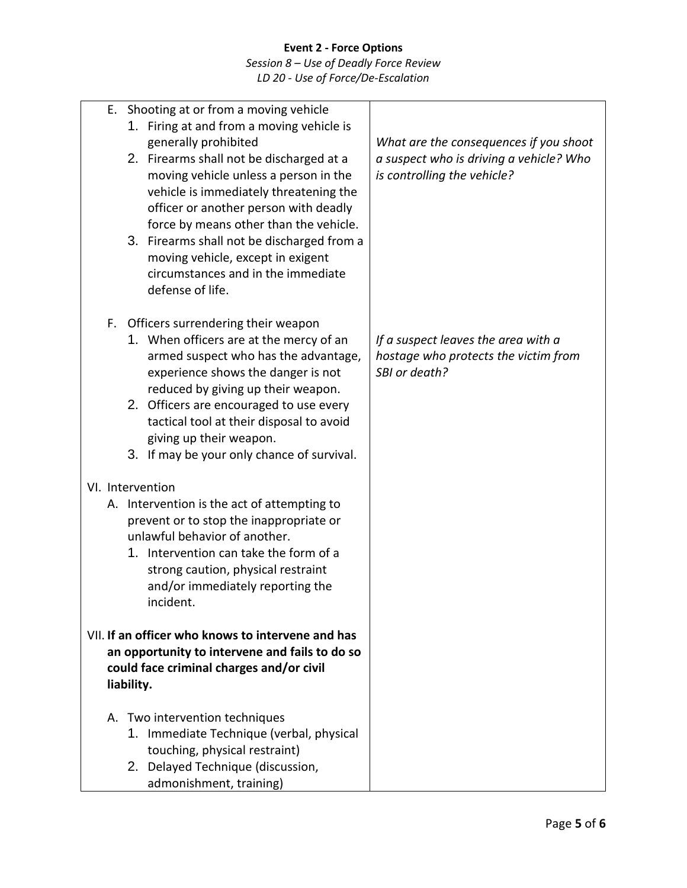*Session 8 – Use of Deadly Force Review LD 20 - Use of Force/De-Escalation*

|                                                                                                                                                               | E. Shooting at or from a moving vehicle<br>1. Firing at and from a moving vehicle is<br>generally prohibited<br>2. Firearms shall not be discharged at a<br>moving vehicle unless a person in the<br>vehicle is immediately threatening the<br>officer or another person with deadly<br>force by means other than the vehicle.<br>3. Firearms shall not be discharged from a<br>moving vehicle, except in exigent<br>circumstances and in the immediate<br>defense of life. | What are the consequences if you shoot<br>a suspect who is driving a vehicle? Who<br>is controlling the vehicle? |
|---------------------------------------------------------------------------------------------------------------------------------------------------------------|-----------------------------------------------------------------------------------------------------------------------------------------------------------------------------------------------------------------------------------------------------------------------------------------------------------------------------------------------------------------------------------------------------------------------------------------------------------------------------|------------------------------------------------------------------------------------------------------------------|
|                                                                                                                                                               | F. Officers surrendering their weapon<br>1. When officers are at the mercy of an<br>armed suspect who has the advantage,<br>experience shows the danger is not<br>reduced by giving up their weapon.<br>2. Officers are encouraged to use every<br>tactical tool at their disposal to avoid<br>giving up their weapon.<br>3. If may be your only chance of survival.                                                                                                        | If a suspect leaves the area with a<br>hostage who protects the victim from<br>SBI or death?                     |
|                                                                                                                                                               | VI. Intervention<br>A. Intervention is the act of attempting to<br>prevent or to stop the inappropriate or<br>unlawful behavior of another.<br>1. Intervention can take the form of a<br>strong caution, physical restraint<br>and/or immediately reporting the<br>incident.                                                                                                                                                                                                |                                                                                                                  |
| VII. If an officer who knows to intervene and has<br>an opportunity to intervene and fails to do so<br>could face criminal charges and/or civil<br>liability. |                                                                                                                                                                                                                                                                                                                                                                                                                                                                             |                                                                                                                  |
|                                                                                                                                                               | A. Two intervention techniques<br>1. Immediate Technique (verbal, physical<br>touching, physical restraint)<br>2. Delayed Technique (discussion,<br>admonishment, training)                                                                                                                                                                                                                                                                                                 |                                                                                                                  |